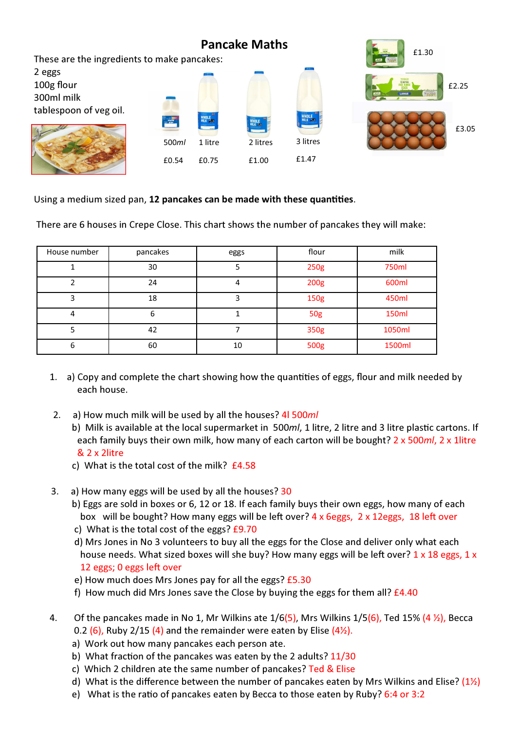

Using a medium sized pan, 12 pancakes can be made with these quantities.

There are 6 houses in Crepe Close. This chart shows the number of pancakes they will make:

| House number | pancakes | eggs | flour      | milk   |
|--------------|----------|------|------------|--------|
|              | 30       |      | 250g       | 750ml  |
|              | 24       | 4    | 200g       | 600ml  |
| 3            | 18       |      | 150g       | 450ml  |
| 4            | 6        |      | <b>50g</b> | 150ml  |
|              | 42       |      | 350g       | 1050ml |
| 6            | 60       | 10   | 500g       | 1500ml |

- 1. a) Copy and complete the chart showing how the quantities of eggs, flour and milk needed by each house.
- 2. a) How much milk will be used by all the houses? 4l 500ml
	- b) Milk is available at the local supermarket in 500ml, 1 litre, 2 litre and 3 litre plastic cartons. If each family buys their own milk, how many of each carton will be bought? 2 x 500ml, 2 x 1litre & 2 x 2litre
	- c) What is the total cost of the milk? £4.58
- 3. a) How many eggs will be used by all the houses? 30
	- b) Eggs are sold in boxes or 6, 12 or 18. If each family buys their own eggs, how many of each box will be bought? How many eggs will be left over?  $4 \times 6$ eggs,  $2 \times 12$ eggs, 18 left over
	- c) What is the total cost of the eggs? £9.70
	- d) Mrs Jones in No 3 volunteers to buy all the eggs for the Close and deliver only what each house needs. What sized boxes will she buy? How many eggs will be left over?  $1 \times 18$  eggs,  $1 \times$ 12 eggs; 0 eggs left over
	- e) How much does Mrs Jones pay for all the eggs? £5.30
	- f) How much did Mrs Jones save the Close by buying the eggs for them all?  $£4.40$
- 4. Of the pancakes made in No 1, Mr Wilkins ate  $1/6(5)$ , Mrs Wilkins  $1/5(6)$ , Ted 15% (4 %), Becca 0.2 (6), Ruby 2/15 (4) and the remainder were eaten by Elise  $(4\%)$ .
	- a) Work out how many pancakes each person ate.
	- b) What fraction of the pancakes was eaten by the 2 adults?  $11/30$
	- c) Which 2 children ate the same number of pancakes? Ted & Elise
	- d) What is the difference between the number of pancakes eaten by Mrs Wilkins and Elise? ( $1\frac{1}{2}$ )
	- e) What is the ratio of pancakes eaten by Becca to those eaten by Ruby?  $6:4$  or 3:2